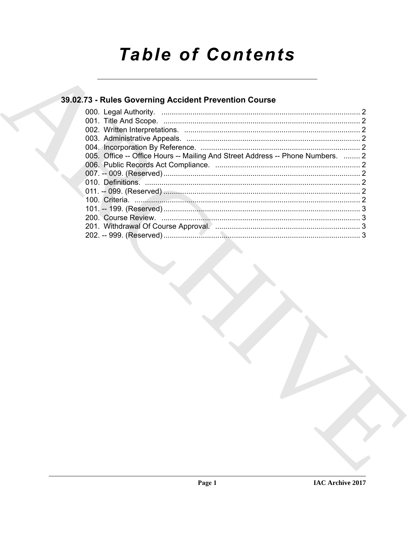# **Table of Contents**

# 39.02.73 - Rules Governing Accident Prevention Course

| 005. Office -- Office Hours -- Mailing And Street Address -- Phone Numbers.  2 |  |
|--------------------------------------------------------------------------------|--|
|                                                                                |  |
|                                                                                |  |
|                                                                                |  |
|                                                                                |  |
|                                                                                |  |
|                                                                                |  |
|                                                                                |  |
|                                                                                |  |
|                                                                                |  |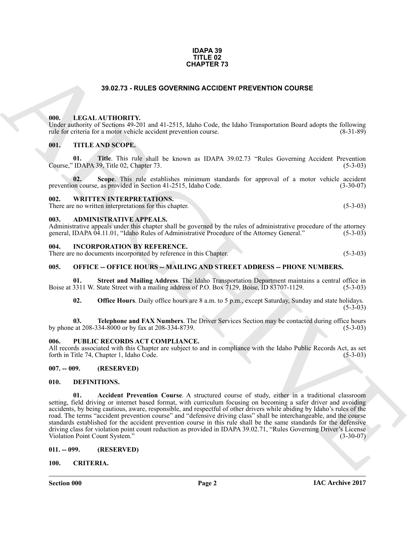#### **IDAPA 39 TITLE 02 CHAPTER 73**

### **39.02.73 - RULES GOVERNING ACCIDENT PREVENTION COURSE**

#### <span id="page-1-1"></span><span id="page-1-0"></span>**000. LEGAL AUTHORITY.**

Under authority of Sections 49-201 and 41-2515, Idaho Code, the Idaho Transportation Board adopts the following rule for criteria for a motor vehicle accident prevention course. (8-31-89) rule for criteria for a motor vehicle accident prevention course.

#### <span id="page-1-2"></span>**001. TITLE AND SCOPE.**

**01.** Title. This rule shall be known as IDAPA 39.02.73 "Rules Governing Accident Prevention IDAPA 39. Title 02. Chapter 73. Course," IDAPA 39, Title 02, Chapter 73.

**02.** Scope. This rule establishes minimum standards for approval of a motor vehicle accident on course, as provided in Section 41-2515, Idaho Code. (3-30-07) prevention course, as provided in Section 41-2515, Idaho Code.

#### <span id="page-1-3"></span>**002. WRITTEN INTERPRETATIONS.**

There are no written interpretations for this chapter. (5-3-03)

#### <span id="page-1-4"></span>**003. ADMINISTRATIVE APPEALS.**

Administrative appeals under this chapter shall be governed by the rules of administrative procedure of the attorney general, IDAPA 04.11.01, "Idaho Rules of Administrative Procedure of the Attorney General," (5-3-03) general, IDAPA 04.11.01, "Idaho Rules of Administrative Procedure of the Attorney General."

#### <span id="page-1-5"></span>**004. INCORPORATION BY REFERENCE.**

There are no documents incorporated by reference in this Chapter. (5-3-03)

#### <span id="page-1-6"></span>**005. OFFICE -- OFFICE HOURS -- MAILING AND STREET ADDRESS -- PHONE NUMBERS.**

**01.** Street and Mailing Address. The Idaho Transportation Department maintains a central office in 3311 W. State Street with a mailing address of P.O. Box 7129, Boise, ID 83707-1129. (5-3-03) Boise at 3311 W. State Street with a mailing address of P.O. Box 7129, Boise, ID 83707-1129.

**02. Office Hours**. Daily office hours are 8 a.m. to 5 p.m., except Saturday, Sunday and state holidays.  $(5-3-03)$ 

**03. Telephone and FAX Numbers**. The Driver Services Section may be contacted during office hours at 208-334-8000 or by fax at 208-334-8739. (5-3-03) by phone at 208-334-8000 or by fax at 208-334-8739.

#### <span id="page-1-7"></span>PUBLIC RECORDS ACT COMPLIANCE.

All records associated with this Chapter are subject to and in compliance with the Idaho Public Records Act, as set forth in Title 74, Chapter 1, Idaho Code. (5-3-03)

#### <span id="page-1-8"></span>**007. -- 009. (RESERVED)**

#### <span id="page-1-14"></span><span id="page-1-13"></span><span id="page-1-9"></span>**010. DEFINITIONS.**

**CHAPTER 73**<br> **CHAPTER 73**<br> **CHAPTER 74**<br> **CHAPTER 75**<br> **CHAPTER 75**<br> **CHAPTER 76**<br> **CHAPTER 76**<br> **CHAPTER 76**<br> **CHAPTER 76**<br> **CHAPTER 76**<br> **CHAPTER 76**<br> **CHAPTER 76**<br> **CHAPTER 76**<br> **CHAPTER 76**<br> **CHAPTER 76**<br> **CHAPTER 76 01. Accident Prevention Course**. A structured course of study, either in a traditional classroom setting, field driving or internet based format, with curriculum focusing on becoming a safer driver and avoiding accidents, by being cautious, aware, responsible, and respectful of other drivers while abiding by Idaho's rules of the road. The terms "accident prevention course" and "defensive driving class" shall be interchangeable, and the course standards established for the accident prevention course in this rule shall be the same standards for the defensive driving class for violation point count reduction as provided in IDAPA 39.02.71, "Rules Governing Driver's License Violation Point Count System."

#### <span id="page-1-10"></span>**011. -- 099. (RESERVED)**

#### <span id="page-1-12"></span><span id="page-1-11"></span>**100. CRITERIA.**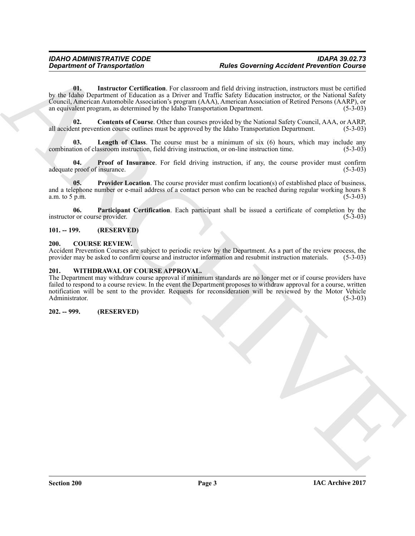**Equation of Transportation**<br> **And S Governing Accident Prevention Counter of the control of the state of the control of the state of the state of the state of the state of the state of the state of the state of the state 01. Instructor Certification**. For classroom and field driving instruction, instructors must be certified by the Idaho Department of Education as a Driver and Traffic Safety Education instructor, or the National Safety Council, American Automobile Association's program (AAA), American Association of Retired Persons (AARP), or an equivalent program, as determined by the Idaho Transportation Department. (5-3-03)

<span id="page-2-6"></span><span id="page-2-5"></span>**02. Contents of Course**. Other than courses provided by the National Safety Council, AAA, or AARP, all accident prevention course outlines must be approved by the Idaho Transportation Department. (5-3-03)

<span id="page-2-7"></span>**Length of Class**. The course must be a minimum of six (6) hours, which may include any assroom instruction, field driving instruction, or on-line instruction time. (5-3-03) combination of classroom instruction, field driving instruction, or on-line instruction time.

<span id="page-2-9"></span>**04. Proof of Insurance**. For field driving instruction, if any, the course provider must confirm proof of insurance. (5-3-03) adequate proof of insurance.

<span id="page-2-10"></span>**05. Provider Location**. The course provider must confirm location(s) of established place of business, and a telephone number or e-mail address of a contact person who can be reached during regular working hours  $\frac{8}{5-3-03}$ a.m. to  $5$  p.m.

<span id="page-2-8"></span>**06.** Participant Certification. Each participant shall be issued a certificate of completion by the r or course provider. (5-3-03) instructor or course provider.

#### <span id="page-2-0"></span>**101. -- 199. (RESERVED)**

#### <span id="page-2-4"></span><span id="page-2-1"></span>**200. COURSE REVIEW.**

Accident Prevention Courses are subject to periodic review by the Department. As a part of the review process, the provider may be asked to confirm course and instructor information and resubmit instruction materials. (5-3 provider may be asked to confirm course and instructor information and resubmit instruction materials.

#### <span id="page-2-11"></span><span id="page-2-2"></span>**201. WITHDRAWAL OF COURSE APPROVAL.**

The Department may withdraw course approval if minimum standards are no longer met or if course providers have failed to respond to a course review. In the event the Department proposes to withdraw approval for a course, written notification will be sent to the provider. Requests for reconsideration will be reviewed by the Motor Vehicle Administrator. (5-3-03)

#### <span id="page-2-3"></span>**202. -- 999. (RESERVED)**